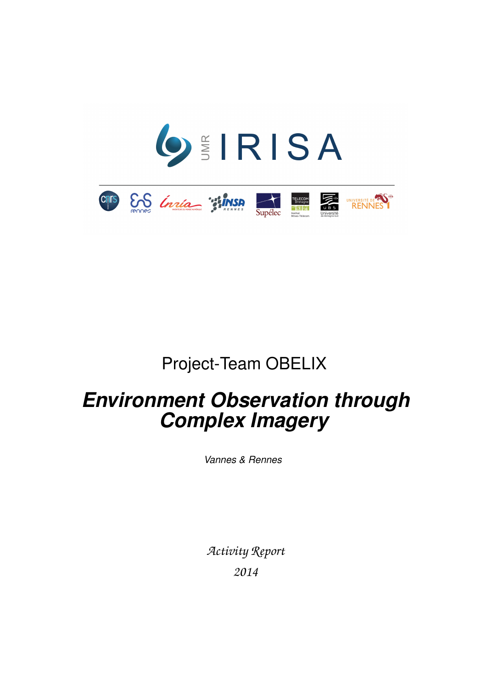

# Project-Team OBELIX

# *Environment Observation through Complex Imagery*

*Vannes & Rennes*

*Activity Report 2014*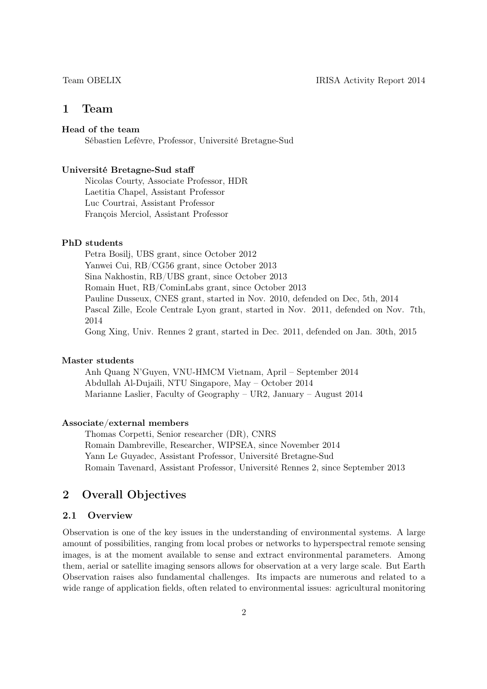# 1 Team

# Head of the team

Sébastien Lefèvre, Professor, Université Bretagne-Sud

#### Université Bretagne-Sud staff

Nicolas Courty, Associate Professor, HDR Laetitia Chapel, Assistant Professor Luc Courtrai, Assistant Professor François Merciol, Assistant Professor

# PhD students

Petra Bosilj, UBS grant, since October 2012 Yanwei Cui, RB/CG56 grant, since October 2013 Sina Nakhostin, RB/UBS grant, since October 2013 Romain Huet, RB/CominLabs grant, since October 2013 Pauline Dusseux, CNES grant, started in Nov. 2010, defended on Dec, 5th, 2014 Pascal Zille, Ecole Centrale Lyon grant, started in Nov. 2011, defended on Nov. 7th, 2014 Gong Xing, Univ. Rennes 2 grant, started in Dec. 2011, defended on Jan. 30th, 2015

#### Master students

Anh Quang N'Guyen, VNU-HMCM Vietnam, April – September 2014 Abdullah Al-Dujaili, NTU Singapore, May – October 2014 Marianne Laslier, Faculty of Geography – UR2, January – August 2014

#### Associate/external members

Thomas Corpetti, Senior researcher (DR), CNRS Romain Dambreville, Researcher, WIPSEA, since November 2014 Yann Le Guyadec, Assistant Professor, Université Bretagne-Sud Romain Tavenard, Assistant Professor, Université Rennes 2, since September 2013

# 2 Overall Objectives

### 2.1 Overview

Observation is one of the key issues in the understanding of environmental systems. A large amount of possibilities, ranging from local probes or networks to hyperspectral remote sensing images, is at the moment available to sense and extract environmental parameters. Among them, aerial or satellite imaging sensors allows for observation at a very large scale. But Earth Observation raises also fundamental challenges. Its impacts are numerous and related to a wide range of application fields, often related to environmental issues: agricultural monitoring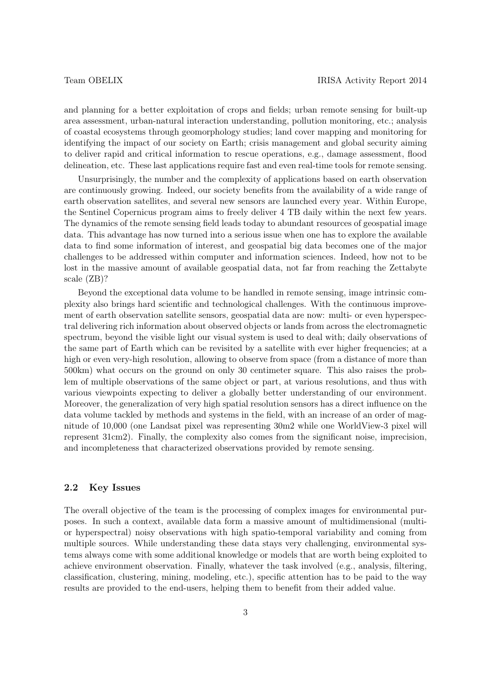and planning for a better exploitation of crops and fields; urban remote sensing for built-up area assessment, urban-natural interaction understanding, pollution monitoring, etc.; analysis of coastal ecosystems through geomorphology studies; land cover mapping and monitoring for identifying the impact of our society on Earth; crisis management and global security aiming to deliver rapid and critical information to rescue operations, e.g., damage assessment, flood delineation, etc. These last applications require fast and even real-time tools for remote sensing.

Unsurprisingly, the number and the complexity of applications based on earth observation are continuously growing. Indeed, our society benefits from the availability of a wide range of earth observation satellites, and several new sensors are launched every year. Within Europe, the Sentinel Copernicus program aims to freely deliver 4 TB daily within the next few years. The dynamics of the remote sensing field leads today to abundant resources of geospatial image data. This advantage has now turned into a serious issue when one has to explore the available data to find some information of interest, and geospatial big data becomes one of the major challenges to be addressed within computer and information sciences. Indeed, how not to be lost in the massive amount of available geospatial data, not far from reaching the Zettabyte scale (ZB)?

Beyond the exceptional data volume to be handled in remote sensing, image intrinsic complexity also brings hard scientific and technological challenges. With the continuous improvement of earth observation satellite sensors, geospatial data are now: multi- or even hyperspectral delivering rich information about observed objects or lands from across the electromagnetic spectrum, beyond the visible light our visual system is used to deal with; daily observations of the same part of Earth which can be revisited by a satellite with ever higher frequencies; at a high or even very-high resolution, allowing to observe from space (from a distance of more than 500km) what occurs on the ground on only 30 centimeter square. This also raises the problem of multiple observations of the same object or part, at various resolutions, and thus with various viewpoints expecting to deliver a globally better understanding of our environment. Moreover, the generalization of very high spatial resolution sensors has a direct influence on the data volume tackled by methods and systems in the field, with an increase of an order of magnitude of 10,000 (one Landsat pixel was representing 30m2 while one WorldView-3 pixel will represent 31cm2). Finally, the complexity also comes from the significant noise, imprecision, and incompleteness that characterized observations provided by remote sensing.

# 2.2 Key Issues

The overall objective of the team is the processing of complex images for environmental purposes. In such a context, available data form a massive amount of multidimensional (multior hyperspectral) noisy observations with high spatio-temporal variability and coming from multiple sources. While understanding these data stays very challenging, environmental systems always come with some additional knowledge or models that are worth being exploited to achieve environment observation. Finally, whatever the task involved (e.g., analysis, filtering, classification, clustering, mining, modeling, etc.), specific attention has to be paid to the way results are provided to the end-users, helping them to benefit from their added value.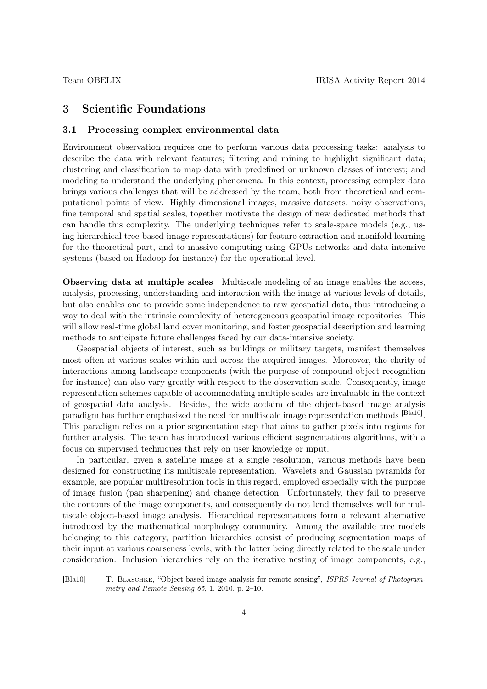# 3 Scientific Foundations

#### 3.1 Processing complex environmental data

Environment observation requires one to perform various data processing tasks: analysis to describe the data with relevant features; filtering and mining to highlight significant data; clustering and classification to map data with predefined or unknown classes of interest; and modeling to understand the underlying phenomena. In this context, processing complex data brings various challenges that will be addressed by the team, both from theoretical and computational points of view. Highly dimensional images, massive datasets, noisy observations, fine temporal and spatial scales, together motivate the design of new dedicated methods that can handle this complexity. The underlying techniques refer to scale-space models (e.g., using hierarchical tree-based image representations) for feature extraction and manifold learning for the theoretical part, and to massive computing using GPUs networks and data intensive systems (based on Hadoop for instance) for the operational level.

Observing data at multiple scales Multiscale modeling of an image enables the access, analysis, processing, understanding and interaction with the image at various levels of details, but also enables one to provide some independence to raw geospatial data, thus introducing a way to deal with the intrinsic complexity of heterogeneous geospatial image repositories. This will allow real-time global land cover monitoring, and foster geospatial description and learning methods to anticipate future challenges faced by our data-intensive society.

Geospatial objects of interest, such as buildings or military targets, manifest themselves most often at various scales within and across the acquired images. Moreover, the clarity of interactions among landscape components (with the purpose of compound object recognition for instance) can also vary greatly with respect to the observation scale. Consequently, image representation schemes capable of accommodating multiple scales are invaluable in the context of geospatial data analysis. Besides, the wide acclaim of the object-based image analysis paradigm has further emphasized the need for multiscale image representation methods <sup>[Bla10]</sup>. This paradigm relies on a prior segmentation step that aims to gather pixels into regions for further analysis. The team has introduced various efficient segmentations algorithms, with a focus on supervised techniques that rely on user knowledge or input.

In particular, given a satellite image at a single resolution, various methods have been designed for constructing its multiscale representation. Wavelets and Gaussian pyramids for example, are popular multiresolution tools in this regard, employed especially with the purpose of image fusion (pan sharpening) and change detection. Unfortunately, they fail to preserve the contours of the image components, and consequently do not lend themselves well for multiscale object-based image analysis. Hierarchical representations form a relevant alternative introduced by the mathematical morphology community. Among the available tree models belonging to this category, partition hierarchies consist of producing segmentation maps of their input at various coarseness levels, with the latter being directly related to the scale under consideration. Inclusion hierarchies rely on the iterative nesting of image components, e.g.,

[Bla10] T. Blaschke, "Object based image analysis for remote sensing", ISPRS Journal of Photogrammetry and Remote Sensing 65, 1, 2010, p. 2–10.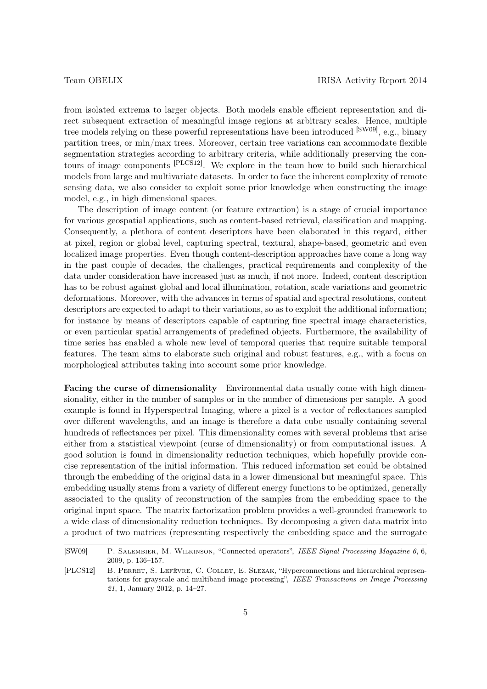from isolated extrema to larger objects. Both models enable efficient representation and direct subsequent extraction of meaningful image regions at arbitrary scales. Hence, multiple tree models relying on these powerful representations have been introduced [SW09], e.g., binary partition trees, or min/max trees. Moreover, certain tree variations can accommodate flexible segmentation strategies according to arbitrary criteria, while additionally preserving the contours of image components [PLCS12]. We explore in the team how to build such hierarchical models from large and multivariate datasets. In order to face the inherent complexity of remote sensing data, we also consider to exploit some prior knowledge when constructing the image model, e.g., in high dimensional spaces.

The description of image content (or feature extraction) is a stage of crucial importance for various geospatial applications, such as content-based retrieval, classification and mapping. Consequently, a plethora of content descriptors have been elaborated in this regard, either at pixel, region or global level, capturing spectral, textural, shape-based, geometric and even localized image properties. Even though content-description approaches have come a long way in the past couple of decades, the challenges, practical requirements and complexity of the data under consideration have increased just as much, if not more. Indeed, content description has to be robust against global and local illumination, rotation, scale variations and geometric deformations. Moreover, with the advances in terms of spatial and spectral resolutions, content descriptors are expected to adapt to their variations, so as to exploit the additional information; for instance by means of descriptors capable of capturing fine spectral image characteristics, or even particular spatial arrangements of predefined objects. Furthermore, the availability of time series has enabled a whole new level of temporal queries that require suitable temporal features. The team aims to elaborate such original and robust features, e.g., with a focus on morphological attributes taking into account some prior knowledge.

Facing the curse of dimensionality Environmental data usually come with high dimensionality, either in the number of samples or in the number of dimensions per sample. A good example is found in Hyperspectral Imaging, where a pixel is a vector of reflectances sampled over different wavelengths, and an image is therefore a data cube usually containing several hundreds of reflectances per pixel. This dimensionality comes with several problems that arise either from a statistical viewpoint (curse of dimensionality) or from computational issues. A good solution is found in dimensionality reduction techniques, which hopefully provide concise representation of the initial information. This reduced information set could be obtained through the embedding of the original data in a lower dimensional but meaningful space. This embedding usually stems from a variety of different energy functions to be optimized, generally associated to the quality of reconstruction of the samples from the embedding space to the original input space. The matrix factorization problem provides a well-grounded framework to a wide class of dimensionality reduction techniques. By decomposing a given data matrix into a product of two matrices (representing respectively the embedding space and the surrogate

<sup>[</sup>SW09] P. Salembier, M. Wilkinson, "Connected operators", IEEE Signal Processing Magazine 6, 6, 2009, p. 136–157.

<sup>[</sup>PLCS12] B. Perret, S. Lefèvre, C. Collet, E. Slezak, "Hyperconnections and hierarchical representations for grayscale and multiband image processing", IEEE Transactions on Image Processing 21, 1, January 2012, p. 14–27.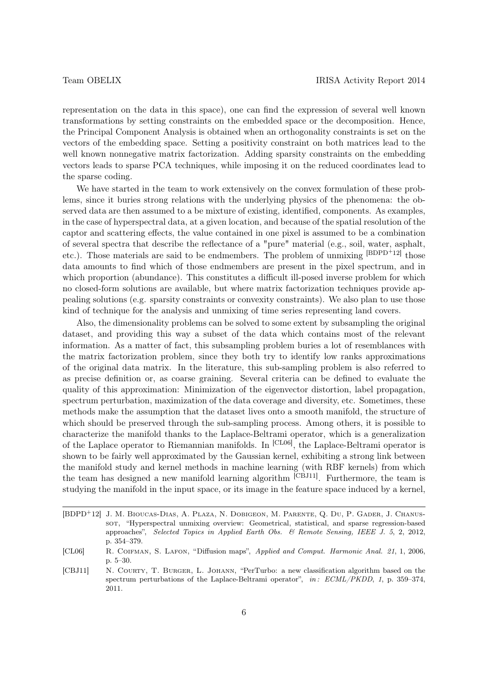representation on the data in this space), one can find the expression of several well known transformations by setting constraints on the embedded space or the decomposition. Hence, the Principal Component Analysis is obtained when an orthogonality constraints is set on the vectors of the embedding space. Setting a positivity constraint on both matrices lead to the well known nonnegative matrix factorization. Adding sparsity constraints on the embedding vectors leads to sparse PCA techniques, while imposing it on the reduced coordinates lead to the sparse coding.

We have started in the team to work extensively on the convex formulation of these problems, since it buries strong relations with the underlying physics of the phenomena: the observed data are then assumed to a be mixture of existing, identified, components. As examples, in the case of hyperspectral data, at a given location, and because of the spatial resolution of the captor and scattering effects, the value contained in one pixel is assumed to be a combination of several spectra that describe the reflectance of a "pure" material (e.g., soil, water, asphalt, etc.). Those materials are said to be endmembers. The problem of unmixing [BDPD+12] those data amounts to find which of those endmembers are present in the pixel spectrum, and in which proportion (abundance). This constitutes a difficult ill-posed inverse problem for which no closed-form solutions are available, but where matrix factorization techniques provide appealing solutions (e.g. sparsity constraints or convexity constraints). We also plan to use those kind of technique for the analysis and unmixing of time series representing land covers.

Also, the dimensionality problems can be solved to some extent by subsampling the original dataset, and providing this way a subset of the data which contains most of the relevant information. As a matter of fact, this subsampling problem buries a lot of resemblances with the matrix factorization problem, since they both try to identify low ranks approximations of the original data matrix. In the literature, this sub-sampling problem is also referred to as precise definition or, as coarse graining. Several criteria can be defined to evaluate the quality of this approximation: Minimization of the eigenvector distortion, label propagation, spectrum perturbation, maximization of the data coverage and diversity, etc. Sometimes, these methods make the assumption that the dataset lives onto a smooth manifold, the structure of which should be preserved through the sub-sampling process. Among others, it is possible to characterize the manifold thanks to the Laplace-Beltrami operator, which is a generalization of the Laplace operator to Riemannian manifolds. In [CL06], the Laplace-Beltrami operator is shown to be fairly well approximated by the Gaussian kernel, exhibiting a strong link between the manifold study and kernel methods in machine learning (with RBF kernels) from which the team has designed a new manifold learning algorithm [CBJ11]. Furthermore, the team is studying the manifold in the input space, or its image in the feature space induced by a kernel,

<sup>[</sup>BDPD<sup>+</sup>12] J. M. Bioucas-Dias, A. Plaza, N. Dobigeon, M. Parente, Q. Du, P. Gader, J. Chanussot, "Hyperspectral unmixing overview: Geometrical, statistical, and sparse regression-based approaches", Selected Topics in Applied Earth Obs. & Remote Sensing, IEEE J. 5, 2, 2012, p. 354–379.

<sup>[</sup>CL06] R. Coifman, S. Lafon, "Diffusion maps", Applied and Comput. Harmonic Anal. 21, 1, 2006, p. 5–30.

<sup>[</sup>CBJ11] N. COURTY, T. BURGER, L. JOHANN, "PerTurbo: a new classification algorithm based on the spectrum perturbations of the Laplace-Beltrami operator", in: ECML/PKDD, 1, p. 359–374, 2011.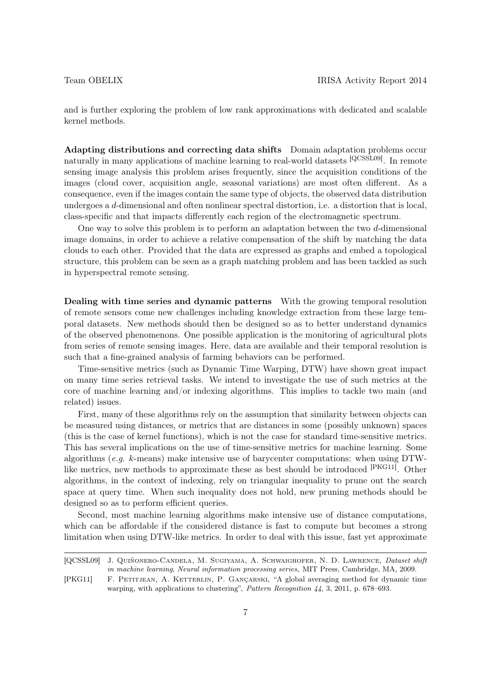and is further exploring the problem of low rank approximations with dedicated and scalable kernel methods.

Adapting distributions and correcting data shifts Domain adaptation problems occur naturally in many applications of machine learning to real-world datasets [QCSSL09]. In remote sensing image analysis this problem arises frequently, since the acquisition conditions of the images (cloud cover, acquisition angle, seasonal variations) are most often different. As a consequence, even if the images contain the same type of objects, the observed data distribution undergoes a d-dimensional and often nonlinear spectral distortion, i.e. a distortion that is local, class-specific and that impacts differently each region of the electromagnetic spectrum.

One way to solve this problem is to perform an adaptation between the two d-dimensional image domains, in order to achieve a relative compensation of the shift by matching the data clouds to each other. Provided that the data are expressed as graphs and embed a topological structure, this problem can be seen as a graph matching problem and has been tackled as such in hyperspectral remote sensing.

Dealing with time series and dynamic patterns With the growing temporal resolution of remote sensors come new challenges including knowledge extraction from these large temporal datasets. New methods should then be designed so as to better understand dynamics of the observed phenomenons. One possible application is the monitoring of agricultural plots from series of remote sensing images. Here, data are available and their temporal resolution is such that a fine-grained analysis of farming behaviors can be performed.

Time-sensitive metrics (such as Dynamic Time Warping, DTW) have shown great impact on many time series retrieval tasks. We intend to investigate the use of such metrics at the core of machine learning and/or indexing algorithms. This implies to tackle two main (and related) issues.

First, many of these algorithms rely on the assumption that similarity between objects can be measured using distances, or metrics that are distances in some (possibly unknown) spaces (this is the case of kernel functions), which is not the case for standard time-sensitive metrics. This has several implications on the use of time-sensitive metrics for machine learning. Some algorithms (e.g. k-means) make intensive use of barycenter computations: when using DTWlike metrics, new methods to approximate these as best should be introduced [PKG11]. Other algorithms, in the context of indexing, rely on triangular inequality to prune out the search space at query time. When such inequality does not hold, new pruning methods should be designed so as to perform efficient queries.

Second, most machine learning algorithms make intensive use of distance computations, which can be affordable if the considered distance is fast to compute but becomes a strong limitation when using DTW-like metrics. In order to deal with this issue, fast yet approximate

<sup>[</sup>QCSSL09] J. Quiñonero-Candela, M. Sugiyama, A. Schwaighofer, N. D. Lawrence, Dataset shift in machine learning, Neural information processing series, MIT Press, Cambridge, MA, 2009.

<sup>[</sup>PKG11] F. PETITJEAN, A. KETTERLIN, P. GANÇARSKI, "A global averaging method for dynamic time warping, with applications to clustering", Pattern Recognition 44, 3, 2011, p. 678-693.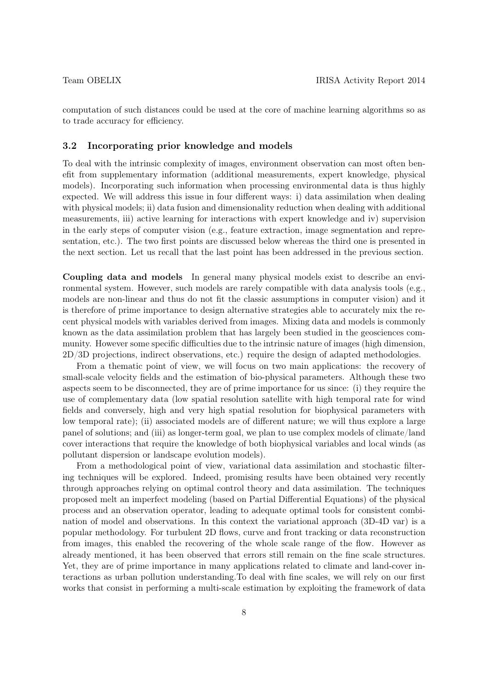computation of such distances could be used at the core of machine learning algorithms so as to trade accuracy for efficiency.

#### 3.2 Incorporating prior knowledge and models

To deal with the intrinsic complexity of images, environment observation can most often benefit from supplementary information (additional measurements, expert knowledge, physical models). Incorporating such information when processing environmental data is thus highly expected. We will address this issue in four different ways: i) data assimilation when dealing with physical models; ii) data fusion and dimensionality reduction when dealing with additional measurements, iii) active learning for interactions with expert knowledge and iv) supervision in the early steps of computer vision (e.g., feature extraction, image segmentation and representation, etc.). The two first points are discussed below whereas the third one is presented in the next section. Let us recall that the last point has been addressed in the previous section.

Coupling data and models In general many physical models exist to describe an environmental system. However, such models are rarely compatible with data analysis tools (e.g., models are non-linear and thus do not fit the classic assumptions in computer vision) and it is therefore of prime importance to design alternative strategies able to accurately mix the recent physical models with variables derived from images. Mixing data and models is commonly known as the data assimilation problem that has largely been studied in the geosciences community. However some specific difficulties due to the intrinsic nature of images (high dimension, 2D/3D projections, indirect observations, etc.) require the design of adapted methodologies.

From a thematic point of view, we will focus on two main applications: the recovery of small-scale velocity fields and the estimation of bio-physical parameters. Although these two aspects seem to be disconnected, they are of prime importance for us since: (i) they require the use of complementary data (low spatial resolution satellite with high temporal rate for wind fields and conversely, high and very high spatial resolution for biophysical parameters with low temporal rate); (ii) associated models are of different nature; we will thus explore a large panel of solutions; and (iii) as longer-term goal, we plan to use complex models of climate/land cover interactions that require the knowledge of both biophysical variables and local winds (as pollutant dispersion or landscape evolution models).

From a methodological point of view, variational data assimilation and stochastic filtering techniques will be explored. Indeed, promising results have been obtained very recently through approaches relying on optimal control theory and data assimilation. The techniques proposed melt an imperfect modeling (based on Partial Differential Equations) of the physical process and an observation operator, leading to adequate optimal tools for consistent combination of model and observations. In this context the variational approach (3D-4D var) is a popular methodology. For turbulent 2D flows, curve and front tracking or data reconstruction from images, this enabled the recovering of the whole scale range of the flow. However as already mentioned, it has been observed that errors still remain on the fine scale structures. Yet, they are of prime importance in many applications related to climate and land-cover interactions as urban pollution understanding.To deal with fine scales, we will rely on our first works that consist in performing a multi-scale estimation by exploiting the framework of data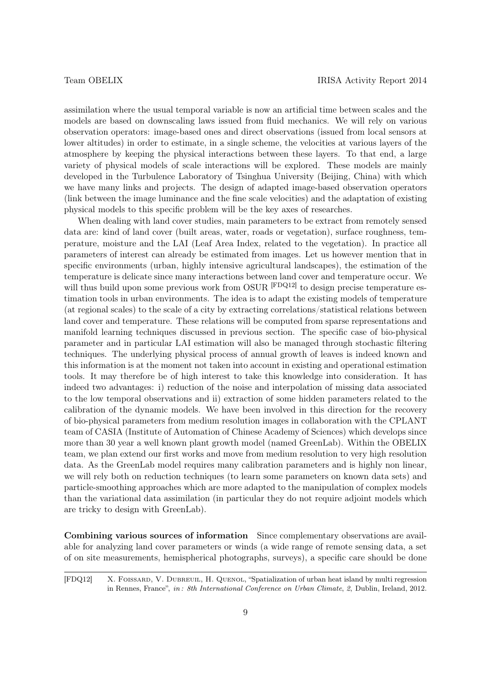assimilation where the usual temporal variable is now an artificial time between scales and the models are based on downscaling laws issued from fluid mechanics. We will rely on various observation operators: image-based ones and direct observations (issued from local sensors at lower altitudes) in order to estimate, in a single scheme, the velocities at various layers of the atmosphere by keeping the physical interactions between these layers. To that end, a large variety of physical models of scale interactions will be explored. These models are mainly developed in the Turbulence Laboratory of Tsinghua University (Beijing, China) with which we have many links and projects. The design of adapted image-based observation operators (link between the image luminance and the fine scale velocities) and the adaptation of existing physical models to this specific problem will be the key axes of researches.

When dealing with land cover studies, main parameters to be extract from remotely sensed data are: kind of land cover (built areas, water, roads or vegetation), surface roughness, temperature, moisture and the LAI (Leaf Area Index, related to the vegetation). In practice all parameters of interest can already be estimated from images. Let us however mention that in specific environments (urban, highly intensive agricultural landscapes), the estimation of the temperature is delicate since many interactions between land cover and temperature occur. We will thus build upon some previous work from OSUR <sup>[FDQ12]</sup> to design precise temperature estimation tools in urban environments. The idea is to adapt the existing models of temperature (at regional scales) to the scale of a city by extracting correlations/statistical relations between land cover and temperature. These relations will be computed from sparse representations and manifold learning techniques discussed in previous section. The specific case of bio-physical parameter and in particular LAI estimation will also be managed through stochastic filtering techniques. The underlying physical process of annual growth of leaves is indeed known and this information is at the moment not taken into account in existing and operational estimation tools. It may therefore be of high interest to take this knowledge into consideration. It has indeed two advantages: i) reduction of the noise and interpolation of missing data associated to the low temporal observations and ii) extraction of some hidden parameters related to the calibration of the dynamic models. We have been involved in this direction for the recovery of bio-physical parameters from medium resolution images in collaboration with the CPLANT team of CASIA (Institute of Automation of Chinese Academy of Sciences) which develops since more than 30 year a well known plant growth model (named GreenLab). Within the OBELIX team, we plan extend our first works and move from medium resolution to very high resolution data. As the GreenLab model requires many calibration parameters and is highly non linear, we will rely both on reduction techniques (to learn some parameters on known data sets) and particle-smoothing approaches which are more adapted to the manipulation of complex models than the variational data assimilation (in particular they do not require adjoint models which are tricky to design with GreenLab).

Combining various sources of information Since complementary observations are available for analyzing land cover parameters or winds (a wide range of remote sensing data, a set of on site measurements, hemispherical photographs, surveys), a specific care should be done

[FDQ12] X. Foissard, V. Dubreuil, H. Quenol, "Spatialization of urban heat island by multi regression in Rennes, France", in : 8th International Conference on Urban Climate, 2, Dublin, Ireland, 2012.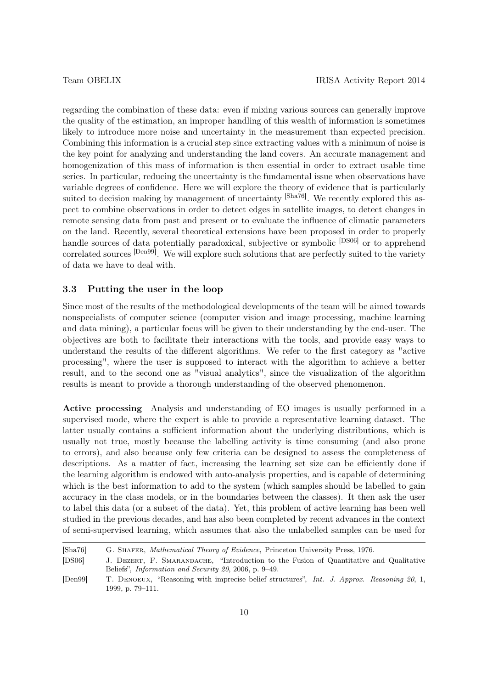regarding the combination of these data: even if mixing various sources can generally improve the quality of the estimation, an improper handling of this wealth of information is sometimes likely to introduce more noise and uncertainty in the measurement than expected precision. Combining this information is a crucial step since extracting values with a minimum of noise is the key point for analyzing and understanding the land covers. An accurate management and homogenization of this mass of information is then essential in order to extract usable time series. In particular, reducing the uncertainty is the fundamental issue when observations have variable degrees of confidence. Here we will explore the theory of evidence that is particularly suited to decision making by management of uncertainty <sup>[Sha76]</sup>. We recently explored this aspect to combine observations in order to detect edges in satellite images, to detect changes in remote sensing data from past and present or to evaluate the influence of climatic parameters on the land. Recently, several theoretical extensions have been proposed in order to properly handle sources of data potentially paradoxical, subjective or symbolic <sup>[DS06]</sup> or to apprehend correlated sources [Den99]. We will explore such solutions that are perfectly suited to the variety of data we have to deal with.

#### 3.3 Putting the user in the loop

Since most of the results of the methodological developments of the team will be aimed towards nonspecialists of computer science (computer vision and image processing, machine learning and data mining), a particular focus will be given to their understanding by the end-user. The objectives are both to facilitate their interactions with the tools, and provide easy ways to understand the results of the different algorithms. We refer to the first category as "active processing", where the user is supposed to interact with the algorithm to achieve a better result, and to the second one as "visual analytics", since the visualization of the algorithm results is meant to provide a thorough understanding of the observed phenomenon.

Active processing Analysis and understanding of EO images is usually performed in a supervised mode, where the expert is able to provide a representative learning dataset. The latter usually contains a sufficient information about the underlying distributions, which is usually not true, mostly because the labelling activity is time consuming (and also prone to errors), and also because only few criteria can be designed to assess the completeness of descriptions. As a matter of fact, increasing the learning set size can be efficiently done if the learning algorithm is endowed with auto-analysis properties, and is capable of determining which is the best information to add to the system (which samples should be labelled to gain accuracy in the class models, or in the boundaries between the classes). It then ask the user to label this data (or a subset of the data). Yet, this problem of active learning has been well studied in the previous decades, and has also been completed by recent advances in the context of semi-supervised learning, which assumes that also the unlabelled samples can be used for

<sup>[</sup>Sha76] G. Shafer, Mathematical Theory of Evidence, Princeton University Press, 1976.

<sup>[</sup>DS06] J. Dezert, F. Smarandache, "Introduction to the Fusion of Quantitative and Qualitative Beliefs", Information and Security 20, 2006, p. 9–49.

<sup>[</sup>Den99] T. DENOEUX, "Reasoning with imprecise belief structures", Int. J. Approx. Reasoning 20, 1, 1999, p. 79–111.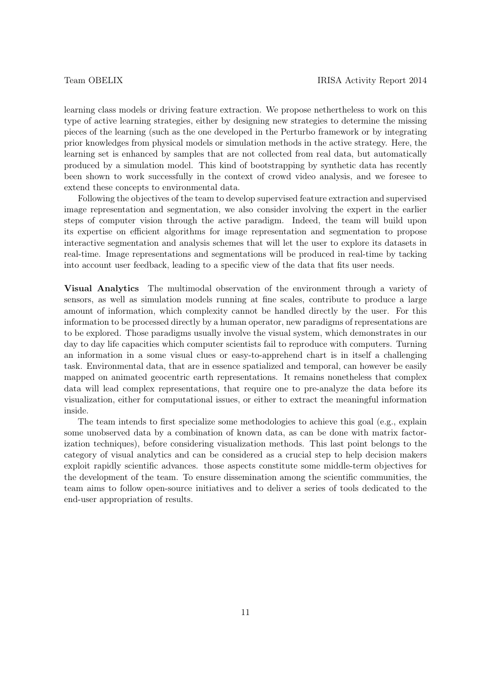learning class models or driving feature extraction. We propose nethertheless to work on this type of active learning strategies, either by designing new strategies to determine the missing pieces of the learning (such as the one developed in the Perturbo framework or by integrating prior knowledges from physical models or simulation methods in the active strategy. Here, the learning set is enhanced by samples that are not collected from real data, but automatically produced by a simulation model. This kind of bootstrapping by synthetic data has recently been shown to work successfully in the context of crowd video analysis, and we foresee to extend these concepts to environmental data.

Following the objectives of the team to develop supervised feature extraction and supervised image representation and segmentation, we also consider involving the expert in the earlier steps of computer vision through the active paradigm. Indeed, the team will build upon its expertise on efficient algorithms for image representation and segmentation to propose interactive segmentation and analysis schemes that will let the user to explore its datasets in real-time. Image representations and segmentations will be produced in real-time by tacking into account user feedback, leading to a specific view of the data that fits user needs.

Visual Analytics The multimodal observation of the environment through a variety of sensors, as well as simulation models running at fine scales, contribute to produce a large amount of information, which complexity cannot be handled directly by the user. For this information to be processed directly by a human operator, new paradigms of representations are to be explored. Those paradigms usually involve the visual system, which demonstrates in our day to day life capacities which computer scientists fail to reproduce with computers. Turning an information in a some visual clues or easy-to-apprehend chart is in itself a challenging task. Environmental data, that are in essence spatialized and temporal, can however be easily mapped on animated geocentric earth representations. It remains nonetheless that complex data will lead complex representations, that require one to pre-analyze the data before its visualization, either for computational issues, or either to extract the meaningful information inside.

The team intends to first specialize some methodologies to achieve this goal (e.g., explain some unobserved data by a combination of known data, as can be done with matrix factorization techniques), before considering visualization methods. This last point belongs to the category of visual analytics and can be considered as a crucial step to help decision makers exploit rapidly scientific advances. those aspects constitute some middle-term objectives for the development of the team. To ensure dissemination among the scientific communities, the team aims to follow open-source initiatives and to deliver a series of tools dedicated to the end-user appropriation of results.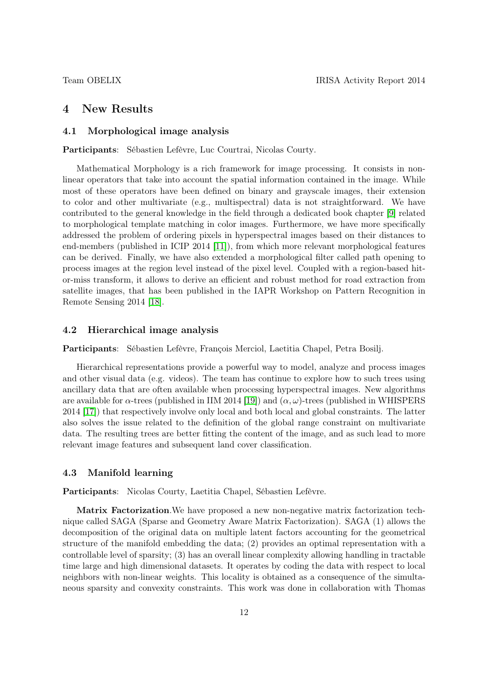# 4 New Results

# 4.1 Morphological image analysis

Participants: Sébastien Lefèvre, Luc Courtrai, Nicolas Courty.

Mathematical Morphology is a rich framework for image processing. It consists in nonlinear operators that take into account the spatial information contained in the image. While most of these operators have been defined on binary and grayscale images, their extension to color and other multivariate (e.g., multispectral) data is not straightforward. We have contributed to the general knowledge in the field through a dedicated book chapter [\[9\]](#page-19-0) related to morphological template matching in color images. Furthermore, we have more specifically addressed the problem of ordering pixels in hyperspectral images based on their distances to end-members (published in ICIP 2014 [\[11\]](#page-19-1)), from which more relevant morphological features can be derived. Finally, we have also extended a morphological filter called path opening to process images at the region level instead of the pixel level. Coupled with a region-based hitor-miss transform, it allows to derive an efficient and robust method for road extraction from satellite images, that has been published in the IAPR Workshop on Pattern Recognition in Remote Sensing 2014 [\[18\]](#page-19-2).

#### 4.2 Hierarchical image analysis

Participants: Sébastien Lefèvre, François Merciol, Laetitia Chapel, Petra Bosilj.

Hierarchical representations provide a powerful way to model, analyze and process images and other visual data (e.g. videos). The team has continue to explore how to such trees using ancillary data that are often available when processing hyperspectral images. New algorithms are available for  $\alpha$ -trees (published in IIM 2014 [\[19\]](#page-19-3)) and  $(\alpha, \omega)$ -trees (published in WHISPERS 2014 [\[17\]](#page-19-4)) that respectively involve only local and both local and global constraints. The latter also solves the issue related to the definition of the global range constraint on multivariate data. The resulting trees are better fitting the content of the image, and as such lead to more relevant image features and subsequent land cover classification.

#### 4.3 Manifold learning

Participants: Nicolas Courty, Laetitia Chapel, Sébastien Lefèvre.

Matrix Factorization.We have proposed a new non-negative matrix factorization technique called SAGA (Sparse and Geometry Aware Matrix Factorization). SAGA (1) allows the decomposition of the original data on multiple latent factors accounting for the geometrical structure of the manifold embedding the data; (2) provides an optimal representation with a controllable level of sparsity; (3) has an overall linear complexity allowing handling in tractable time large and high dimensional datasets. It operates by coding the data with respect to local neighbors with non-linear weights. This locality is obtained as a consequence of the simultaneous sparsity and convexity constraints. This work was done in collaboration with Thomas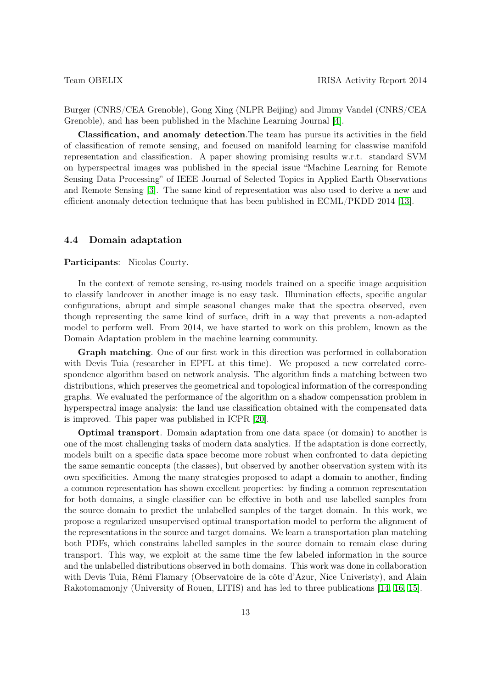Burger (CNRS/CEA Grenoble), Gong Xing (NLPR Beijing) and Jimmy Vandel (CNRS/CEA Grenoble), and has been published in the Machine Learning Journal [\[4\]](#page-18-0).

Classification, and anomaly detection.The team has pursue its activities in the field of classification of remote sensing, and focused on manifold learning for classwise manifold representation and classification. A paper showing promising results w.r.t. standard SVM on hyperspectral images was published in the special issue "Machine Learning for Remote Sensing Data Processing" of IEEE Journal of Selected Topics in Applied Earth Observations and Remote Sensing [\[3\]](#page-18-1). The same kind of representation was also used to derive a new and efficient anomaly detection technique that has been published in ECML/PKDD 2014 [\[13\]](#page-19-5).

#### 4.4 Domain adaptation

#### Participants: Nicolas Courty.

In the context of remote sensing, re-using models trained on a specific image acquisition to classify landcover in another image is no easy task. Illumination effects, specific angular configurations, abrupt and simple seasonal changes make that the spectra observed, even though representing the same kind of surface, drift in a way that prevents a non-adapted model to perform well. From 2014, we have started to work on this problem, known as the Domain Adaptation problem in the machine learning community.

Graph matching. One of our first work in this direction was performed in collaboration with Devis Tuia (researcher in EPFL at this time). We proposed a new correlated correspondence algorithm based on network analysis. The algorithm finds a matching between two distributions, which preserves the geometrical and topological information of the corresponding graphs. We evaluated the performance of the algorithm on a shadow compensation problem in hyperspectral image analysis: the land use classification obtained with the compensated data is improved. This paper was published in ICPR [\[20\]](#page-20-0).

Optimal transport. Domain adaptation from one data space (or domain) to another is one of the most challenging tasks of modern data analytics. If the adaptation is done correctly, models built on a specific data space become more robust when confronted to data depicting the same semantic concepts (the classes), but observed by another observation system with its own specificities. Among the many strategies proposed to adapt a domain to another, finding a common representation has shown excellent properties: by finding a common representation for both domains, a single classifier can be effective in both and use labelled samples from the source domain to predict the unlabelled samples of the target domain. In this work, we propose a regularized unsupervised optimal transportation model to perform the alignment of the representations in the source and target domains. We learn a transportation plan matching both PDFs, which constrains labelled samples in the source domain to remain close during transport. This way, we exploit at the same time the few labeled information in the source and the unlabelled distributions observed in both domains. This work was done in collaboration with Devis Tuia, Rémi Flamary (Observatoire de la côte d'Azur, Nice Univeristy), and Alain Rakotomamonjy (University of Rouen, LITIS) and has led to three publications [\[14,](#page-19-6) [16,](#page-19-7) [15\]](#page-19-8).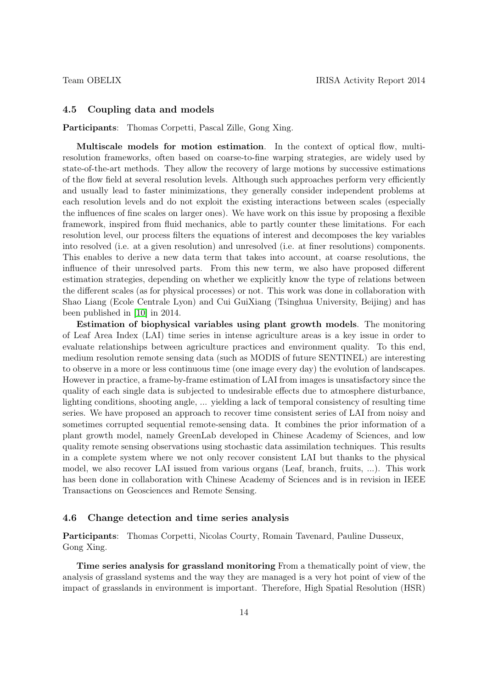#### 4.5 Coupling data and models

Participants: Thomas Corpetti, Pascal Zille, Gong Xing.

Multiscale models for motion estimation. In the context of optical flow, multiresolution frameworks, often based on coarse-to-fine warping strategies, are widely used by state-of-the-art methods. They allow the recovery of large motions by successive estimations of the flow field at several resolution levels. Although such approaches perform very efficiently and usually lead to faster minimizations, they generally consider independent problems at each resolution levels and do not exploit the existing interactions between scales (especially the influences of fine scales on larger ones). We have work on this issue by proposing a flexible framework, inspired from fluid mechanics, able to partly counter these limitations. For each resolution level, our process filters the equations of interest and decomposes the key variables into resolved (i.e. at a given resolution) and unresolved (i.e. at finer resolutions) components. This enables to derive a new data term that takes into account, at coarse resolutions, the influence of their unresolved parts. From this new term, we also have proposed different estimation strategies, depending on whether we explicitly know the type of relations between the different scales (as for physical processes) or not. This work was done in collaboration with Shao Liang (Ecole Centrale Lyon) and Cui GuiXiang (Tsinghua University, Beijing) and has been published in [\[10\]](#page-19-9) in 2014.

Estimation of biophysical variables using plant growth models. The monitoring of Leaf Area Index (LAI) time series in intense agriculture areas is a key issue in order to evaluate relationships between agriculture practices and environment quality. To this end, medium resolution remote sensing data (such as MODIS of future SENTINEL) are interesting to observe in a more or less continuous time (one image every day) the evolution of landscapes. However in practice, a frame-by-frame estimation of LAI from images is unsatisfactory since the quality of each single data is subjected to undesirable effects due to atmosphere disturbance, lighting conditions, shooting angle, ... yielding a lack of temporal consistency of resulting time series. We have proposed an approach to recover time consistent series of LAI from noisy and sometimes corrupted sequential remote-sensing data. It combines the prior information of a plant growth model, namely GreenLab developed in Chinese Academy of Sciences, and low quality remote sensing observations using stochastic data assimilation techniques. This results in a complete system where we not only recover consistent LAI but thanks to the physical model, we also recover LAI issued from various organs (Leaf, branch, fruits, ...). This work has been done in collaboration with Chinese Academy of Sciences and is in revision in IEEE Transactions on Geosciences and Remote Sensing.

#### 4.6 Change detection and time series analysis

Participants: Thomas Corpetti, Nicolas Courty, Romain Tavenard, Pauline Dusseux, Gong Xing.

Time series analysis for grassland monitoring From a thematically point of view, the analysis of grassland systems and the way they are managed is a very hot point of view of the impact of grasslands in environment is important. Therefore, High Spatial Resolution (HSR)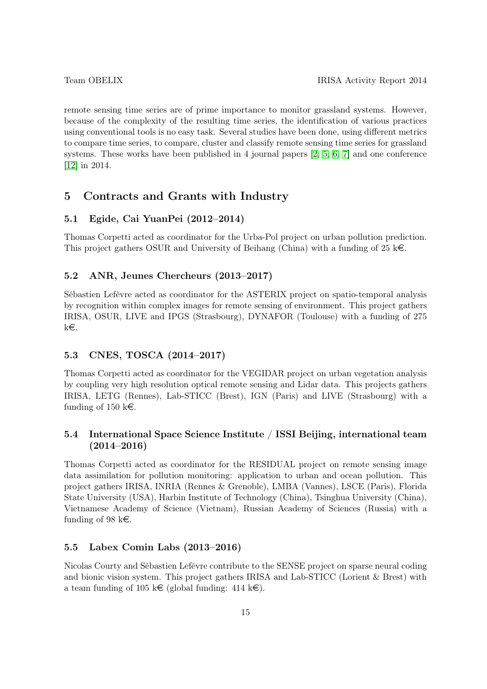remote sensing time series are of prime importance to monitor grassland systems. However, because of the complexity of the resulting time series, the identification of various practices using conventional tools is no easy task. Several studies have been done, using different metrics to compare time series, to compare, cluster and classify remote sensing time series for grassland systems. These works have been published in 4 journal papers [\[2,](#page-18-2) [5,](#page-18-3) [6,](#page-18-4) [7\]](#page-18-5) and one conference [\[12\]](#page-19-10) in 2014.

# 5 Contracts and Grants with Industry

# 5.1 Egide, Cai YuanPei (2012–2014)

Thomas Corpetti acted as coordinator for the Urba-Pol project on urban pollution prediction. This project gathers OSUR and University of Beihang (China) with a funding of 25 k $\epsilon$ .

### 5.2 ANR, Jeunes Chercheurs (2013–2017)

Sébastien Lefèvre acted as coordinator for the ASTERIX project on spatio-temporal analysis by recognition within complex images for remote sensing of environment. This project gathers IRISA, OSUR, LIVE and IPGS (Strasbourg), DYNAFOR (Toulouse) with a funding of 275 ke.

# 5.3 CNES, TOSCA (2014–2017)

Thomas Corpetti acted as coordinator for the VEGIDAR project on urban vegetation analysis by coupling very high resolution optical remote sensing and Lidar data. This projects gathers IRISA, LETG (Rennes), Lab-STICC (Brest), IGN (Paris) and LIVE (Strasbourg) with a funding of 150 k $\in$ .

# 5.4 International Space Science Institute / ISSI Beijing, international team  $(2014 - 2016)$

Thomas Corpetti acted as coordinator for the RESIDUAL project on remote sensing image data assimilation for pollution monitoring: application to urban and ocean pollution. This project gathers IRISA, INRIA (Rennes & Grenoble), LMBA (Vannes), LSCE (Paris), Florida State University (USA), Harbin Institute of Technology (China), Tsinghua University (China), Vietnamese Academy of Science (Vietnam), Russian Academy of Sciences (Russia) with a funding of 98 k $\in$ .

#### 5.5 Labex Comin Labs (2013–2016)

Nicolas Courty and Sébastien Lefèvre contribute to the SENSE project on sparse neural coding and bionic vision system. This project gathers IRISA and Lab-STICC (Lorient & Brest) with a team funding of 105 k $\in$  (global funding: 414 k $\in$ ).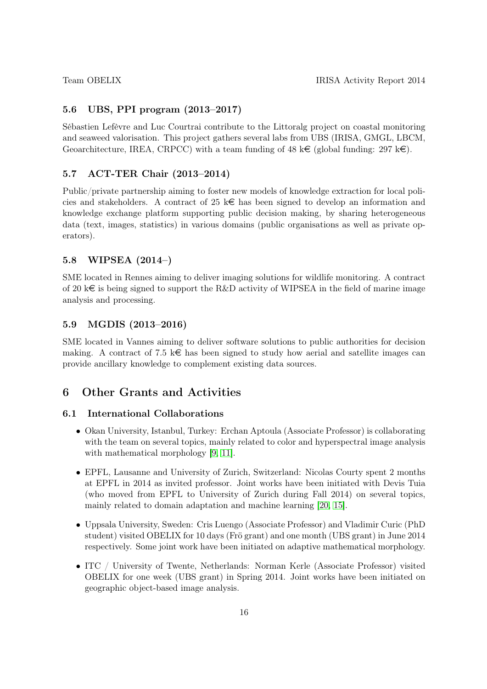## 5.6 UBS, PPI program (2013–2017)

Sébastien Lefèvre and Luc Courtrai contribute to the Littoralg project on coastal monitoring and seaweed valorisation. This project gathers several labs from UBS (IRISA, GMGL, LBCM, Geoarchitecture, IREA, CRPCC) with a team funding of 48 k $\in$  (global funding: 297 k $\in$ ).

### 5.7 ACT-TER Chair (2013–2014)

Public/private partnership aiming to foster new models of knowledge extraction for local policies and stakeholders. A contract of 25  $k \in \mathbb{R}$  has been signed to develop an information and knowledge exchange platform supporting public decision making, by sharing heterogeneous data (text, images, statistics) in various domains (public organisations as well as private operators).

# 5.8 WIPSEA (2014–)

SME located in Rennes aiming to deliver imaging solutions for wildlife monitoring. A contract of 20 k $\epsilon$  is being signed to support the R&D activity of WIPSEA in the field of marine image analysis and processing.

#### 5.9 MGDIS (2013–2016)

SME located in Vannes aiming to deliver software solutions to public authorities for decision making. A contract of 7.5 k $\epsilon$  has been signed to study how aerial and satellite images can provide ancillary knowledge to complement existing data sources.

# 6 Other Grants and Activities

#### 6.1 International Collaborations

- Okan University, Istanbul, Turkey: Erchan Aptoula (Associate Professor) is collaborating with the team on several topics, mainly related to color and hyperspectral image analysis with mathematical morphology [\[9,](#page-19-0) [11\]](#page-19-1).
- EPFL, Lausanne and University of Zurich, Switzerland: Nicolas Courty spent 2 months at EPFL in 2014 as invited professor. Joint works have been initiated with Devis Tuia (who moved from EPFL to University of Zurich during Fall 2014) on several topics, mainly related to domain adaptation and machine learning [\[20,](#page-20-0) [15\]](#page-19-8).
- Uppsala University, Sweden: Cris Luengo (Associate Professor) and Vladimir Curic (PhD student) visited OBELIX for 10 days (Frö grant) and one month (UBS grant) in June 2014 respectively. Some joint work have been initiated on adaptive mathematical morphology.
- ITC / University of Twente, Netherlands: Norman Kerle (Associate Professor) visited OBELIX for one week (UBS grant) in Spring 2014. Joint works have been initiated on geographic object-based image analysis.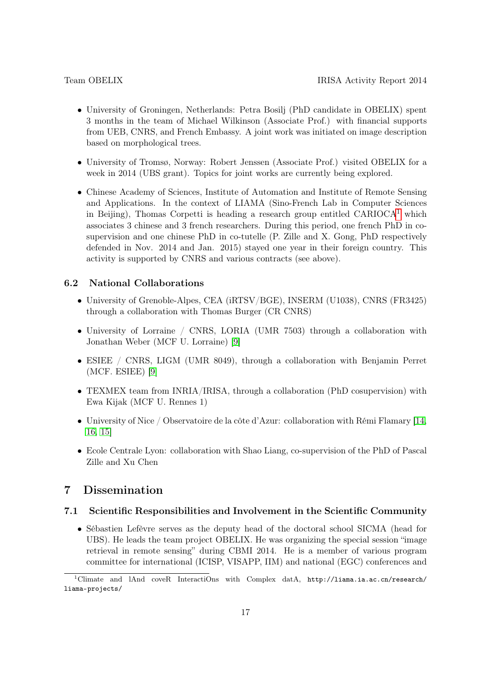- University of Groningen, Netherlands: Petra Bosilj (PhD candidate in OBELIX) spent 3 months in the team of Michael Wilkinson (Associate Prof.) with financial supports from UEB, CNRS, and French Embassy. A joint work was initiated on image description based on morphological trees.
- University of Tromsø, Norway: Robert Jenssen (Associate Prof.) visited OBELIX for a week in 2014 (UBS grant). Topics for joint works are currently being explored.
- Chinese Academy of Sciences, Institute of Automation and Institute of Remote Sensing and Applications. In the context of LIAMA (Sino-French Lab in Computer Sciences in Beijing), Thomas Corpetti is heading a research group entitled  $CARIOCA<sup>1</sup>$  $CARIOCA<sup>1</sup>$  $CARIOCA<sup>1</sup>$  which associates 3 chinese and 3 french researchers. During this period, one french PhD in cosupervision and one chinese PhD in co-tutelle (P. Zille and X. Gong, PhD respectively defended in Nov. 2014 and Jan. 2015) stayed one year in their foreign country. This activity is supported by CNRS and various contracts (see above).

## 6.2 National Collaborations

- University of Grenoble-Alpes, CEA (iRTSV/BGE), INSERM (U1038), CNRS (FR3425) through a collaboration with Thomas Burger (CR CNRS)
- University of Lorraine / CNRS, LORIA (UMR 7503) through a collaboration with Jonathan Weber (MCF U. Lorraine) [\[9\]](#page-19-0)
- ESIEE / CNRS, LIGM (UMR 8049), through a collaboration with Benjamin Perret (MCF. ESIEE) [\[9\]](#page-19-0)
- TEXMEX team from INRIA/IRISA, through a collaboration (PhD cosupervision) with Ewa Kijak (MCF U. Rennes 1)
- University of Nice / Observatoire de la côte d'Azur: collaboration with Rémi Flamary [\[14,](#page-19-6) [16,](#page-19-7) [15\]](#page-19-8)
- Ecole Centrale Lyon: collaboration with Shao Liang, co-supervision of the PhD of Pascal Zille and Xu Chen

# 7 Dissemination

#### 7.1 Scientific Responsibilities and Involvement in the Scientific Community

• Sébastien Lefèvre serves as the deputy head of the doctoral school SICMA (head for UBS). He leads the team project OBELIX. He was organizing the special session "image retrieval in remote sensing" during CBMI 2014. He is a member of various program committee for international (ICISP, VISAPP, IIM) and national (EGC) conferences and

<span id="page-16-0"></span><sup>&</sup>lt;sup>1</sup>Climate and lAnd coveR InteractiOns with Complex datA, http://liama.ia.ac.cn/research/ liama-projects/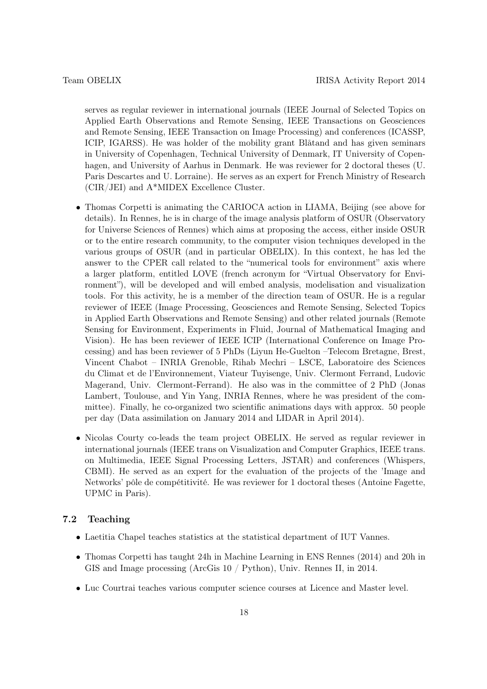serves as regular reviewer in international journals (IEEE Journal of Selected Topics on Applied Earth Observations and Remote Sensing, IEEE Transactions on Geosciences and Remote Sensing, IEEE Transaction on Image Processing) and conferences (ICASSP, ICIP, IGARSS). He was holder of the mobility grant Blåtand and has given seminars in University of Copenhagen, Technical University of Denmark, IT University of Copenhagen, and University of Aarhus in Denmark. He was reviewer for 2 doctoral theses (U. Paris Descartes and U. Lorraine). He serves as an expert for French Ministry of Research (CIR/JEI) and A\*MIDEX Excellence Cluster.

- Thomas Corpetti is animating the CARIOCA action in LIAMA, Beijing (see above for details). In Rennes, he is in charge of the image analysis platform of OSUR (Observatory for Universe Sciences of Rennes) which aims at proposing the access, either inside OSUR or to the entire research community, to the computer vision techniques developed in the various groups of OSUR (and in particular OBELIX). In this context, he has led the answer to the CPER call related to the "numerical tools for environment" axis where a larger platform, entitled LOVE (french acronym for "Virtual Observatory for Environment"), will be developed and will embed analysis, modelisation and visualization tools. For this activity, he is a member of the direction team of OSUR. He is a regular reviewer of IEEE (Image Processing, Geosciences and Remote Sensing, Selected Topics in Applied Earth Observations and Remote Sensing) and other related journals (Remote Sensing for Environment, Experiments in Fluid, Journal of Mathematical Imaging and Vision). He has been reviewer of IEEE ICIP (International Conference on Image Processing) and has been reviewer of 5 PhDs (Liyun He-Guelton –Telecom Bretagne, Brest, Vincent Chabot – INRIA Grenoble, Rihab Mechri – LSCE, Laboratoire des Sciences du Climat et de l'Environnement, Viateur Tuyisenge, Univ. Clermont Ferrand, Ludovic Magerand, Univ. Clermont-Ferrand). He also was in the committee of 2 PhD (Jonas Lambert, Toulouse, and Yin Yang, INRIA Rennes, where he was president of the committee). Finally, he co-organized two scientific animations days with approx. 50 people per day (Data assimilation on January 2014 and LIDAR in April 2014).
- Nicolas Courty co-leads the team project OBELIX. He served as regular reviewer in international journals (IEEE trans on Visualization and Computer Graphics, IEEE trans. on Multimedia, IEEE Signal Processing Letters, JSTAR) and conferences (Whispers, CBMI). He served as an expert for the evaluation of the projects of the 'Image and Networks' pôle de compétitivité. He was reviewer for 1 doctoral theses (Antoine Fagette, UPMC in Paris).

### 7.2 Teaching

- Laetitia Chapel teaches statistics at the statistical department of IUT Vannes.
- Thomas Corpetti has taught 24h in Machine Learning in ENS Rennes (2014) and 20h in GIS and Image processing (ArcGis 10 / Python), Univ. Rennes II, in 2014.
- Luc Courtrai teaches various computer science courses at Licence and Master level.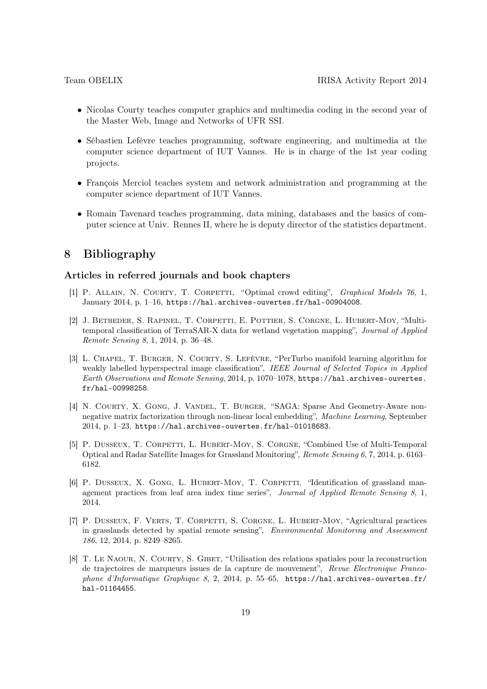- Nicolas Courty teaches computer graphics and multimedia coding in the second year of the Master Web, Image and Networks of UFR SSI.
- Sébastien Lefèvre teaches programming, software engineering, and multimedia at the computer science department of IUT Vannes. He is in charge of the 1st year coding projects.
- François Merciol teaches system and network administration and programming at the computer science department of IUT Vannes.
- Romain Tavenard teaches programming, data mining, databases and the basics of computer science at Univ. Rennes II, where he is deputy director of the statistics department.

# 8 Bibliography

### Articles in referred journals and book chapters

- [1] P. ALLAIN, N. COURTY, T. CORPETTI, "Optimal crowd editing", *Graphical Models 76*, 1, January 2014, p. 1–16, https://hal.archives-ouvertes.fr/hal-00904008.
- <span id="page-18-2"></span>[2] J. Betbeder, S. Rapinel, T. Corpetti, E. Pottier, S. Corgne, L. Hubert-Moy, "Multitemporal classification of TerraSAR-X data for wetland vegetation mapping", Journal of Applied Remote Sensing 8, 1, 2014, p. 36–48.
- <span id="page-18-1"></span>[3] L. Chapel, T. Burger, N. Courty, S. Lefèvre, "PerTurbo manifold learning algorithm for weakly labelled hyperspectral image classification", IEEE Journal of Selected Topics in Applied Earth Observations and Remote Sensing, 2014, p. 1070–1078, https://hal.archives-ouvertes. fr/hal-00998258.
- <span id="page-18-0"></span>[4] N. Courty, X. Gong, J. Vandel, T. Burger, "SAGA: Sparse And Geometry-Aware nonnegative matrix factorization through non-linear local embedding", Machine Learning, September 2014, p. 1–23, https://hal.archives-ouvertes.fr/hal-01018683.
- <span id="page-18-3"></span>[5] P. DUSSEUX, T. CORPETTI, L. HUBERT-MOY, S. CORGNE, "Combined Use of Multi-Temporal Optical and Radar Satellite Images for Grassland Monitoring", Remote Sensing 6, 7, 2014, p. 6163– 6182.
- <span id="page-18-4"></span>[6] P. DUSSEUX, X. GONG, L. HUBERT-MOY, T. CORPETTI, "Identification of grassland management practices from leaf area index time series", Journal of Applied Remote Sensing 8, 1, 2014.
- <span id="page-18-5"></span>[7] P. Dusseux, F. Verts, T. Corpetti, S. Corgne, L. Hubert-Moy, "Agricultural practices in grasslands detected by spatial remote sensing", Environmental Monitoring and Assessment 186, 12, 2014, p. 8249–8265.
- [8] T. LE NAOUR, N. COURTY, S. GIBET, "Utilisation des relations spatiales pour la reconstruction de trajectoires de marqueurs issues de la capture de mouvement", Revue Electronique Francophone d'Informatique Graphique 8, 2, 2014, p. 55–65, https://hal.archives-ouvertes.fr/ hal-01164455.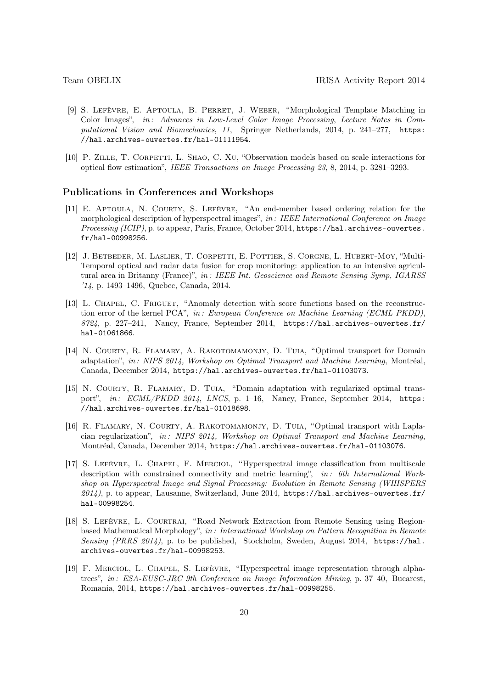- <span id="page-19-0"></span>[9] S. Lefèvre, E. Aptoula, B. Perret, J. Weber, "Morphological Template Matching in Color Images", in: Advances in Low-Level Color Image Processing, Lecture Notes in Computational Vision and Biomechanics, 11, Springer Netherlands, 2014, p. 241–277, https: //hal.archives-ouvertes.fr/hal-01111954.
- <span id="page-19-9"></span>[10] P. ZILLE, T. CORPETTI, L. SHAO, C. XU, "Observation models based on scale interactions for optical flow estimation", IEEE Transactions on Image Processing 23, 8, 2014, p. 3281–3293.

#### Publications in Conferences and Workshops

- <span id="page-19-1"></span>[11] E. Aptoula, N. Courty, S. Lefèvre, "An end-member based ordering relation for the morphological description of hyperspectral images", in : IEEE International Conference on Image Processing (ICIP), p. to appear, Paris, France, October 2014, https://hal.archives-ouvertes. fr/hal-00998256.
- <span id="page-19-10"></span>[12] J. Betbeder, M. Laslier, T. Corpetti, E. Pottier, S. Corgne, L. Hubert-Moy, "Multi-Temporal optical and radar data fusion for crop monitoring: application to an intensive agricultural area in Britanny (France)", in: IEEE Int. Geoscience and Remote Sensing Symp, IGARSS '14, p. 1493–1496, Quebec, Canada, 2014.
- <span id="page-19-5"></span>[13] L. CHAPEL, C. FRIGUET, "Anomaly detection with score functions based on the reconstruction error of the kernel PCA", in: European Conference on Machine Learning (ECML PKDD), 8724, p. 227–241, Nancy, France, September 2014, https://hal.archives-ouvertes.fr/ hal-01061866.
- <span id="page-19-6"></span>[14] N. COURTY, R. FLAMARY, A. RAKOTOMAMONJY, D. TUIA, "Optimal transport for Domain adaptation", in : NIPS 2014, Workshop on Optimal Transport and Machine Learning, Montréal, Canada, December 2014, https://hal.archives-ouvertes.fr/hal-01103073.
- <span id="page-19-8"></span>[15] N. COURTY, R. FLAMARY, D. TUIA, "Domain adaptation with regularized optimal transport", in: ECML/PKDD 2014, LNCS, p. 1-16, Nancy, France, September 2014, https: //hal.archives-ouvertes.fr/hal-01018698.
- <span id="page-19-7"></span>[16] R. FLAMARY, N. COURTY, A. RAKOTOMAMONJY, D. TUIA, "Optimal transport with Laplacian regularization", in : NIPS 2014, Workshop on Optimal Transport and Machine Learning, Montréal, Canada, December 2014, https://hal.archives-ouvertes.fr/hal-01103076.
- <span id="page-19-4"></span>[17] S. Lefèvre, L. Chapel, F. Merciol, "Hyperspectral image classification from multiscale description with constrained connectivity and metric learning", in: 6th International Workshop on Hyperspectral Image and Signal Processing: Evolution in Remote Sensing (WHISPERS  $2014$ ), p. to appear, Lausanne, Switzerland, June 2014, https://hal.archives-ouvertes.fr/ hal-00998254.
- <span id="page-19-2"></span>[18] S. Lefèvre, L. Courtrai, "Road Network Extraction from Remote Sensing using Regionbased Mathematical Morphology", in: International Workshop on Pattern Recognition in Remote Sensing (PRRS 2014), p. to be published, Stockholm, Sweden, August 2014, https://hal. archives-ouvertes.fr/hal-00998253.
- <span id="page-19-3"></span>[19] F. MERCIOL, L. CHAPEL, S. LEFÈVRE, "Hyperspectral image representation through alphatrees", in: ESA-EUSC-JRC 9th Conference on Image Information Mining, p. 37–40, Bucarest, Romania, 2014, https://hal.archives-ouvertes.fr/hal-00998255.